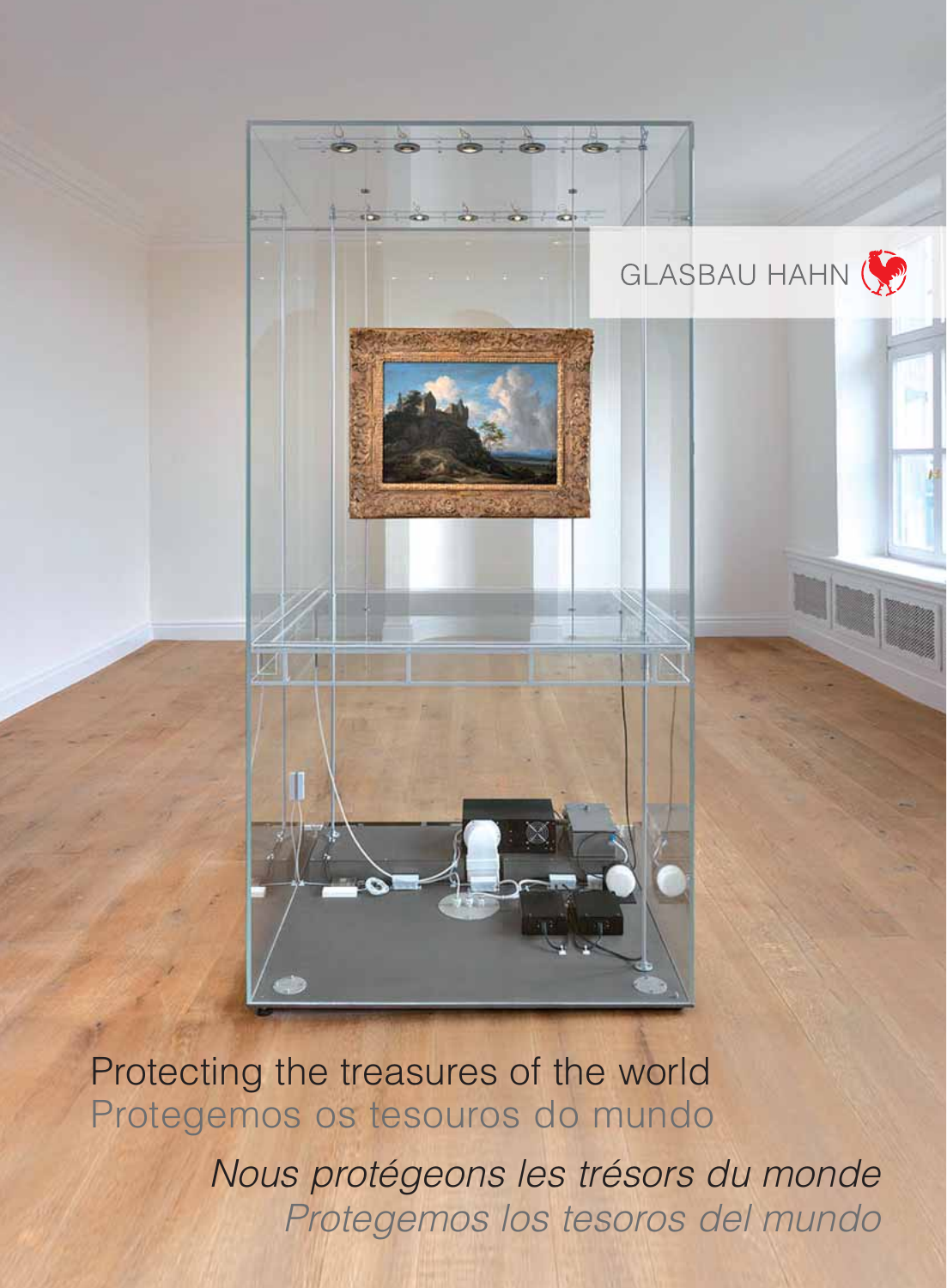

Protecting the treasures of the world Protegemos os tesouros do mundo

> Nous protégeons les trésors du monde Protegemos los tesoros del mundo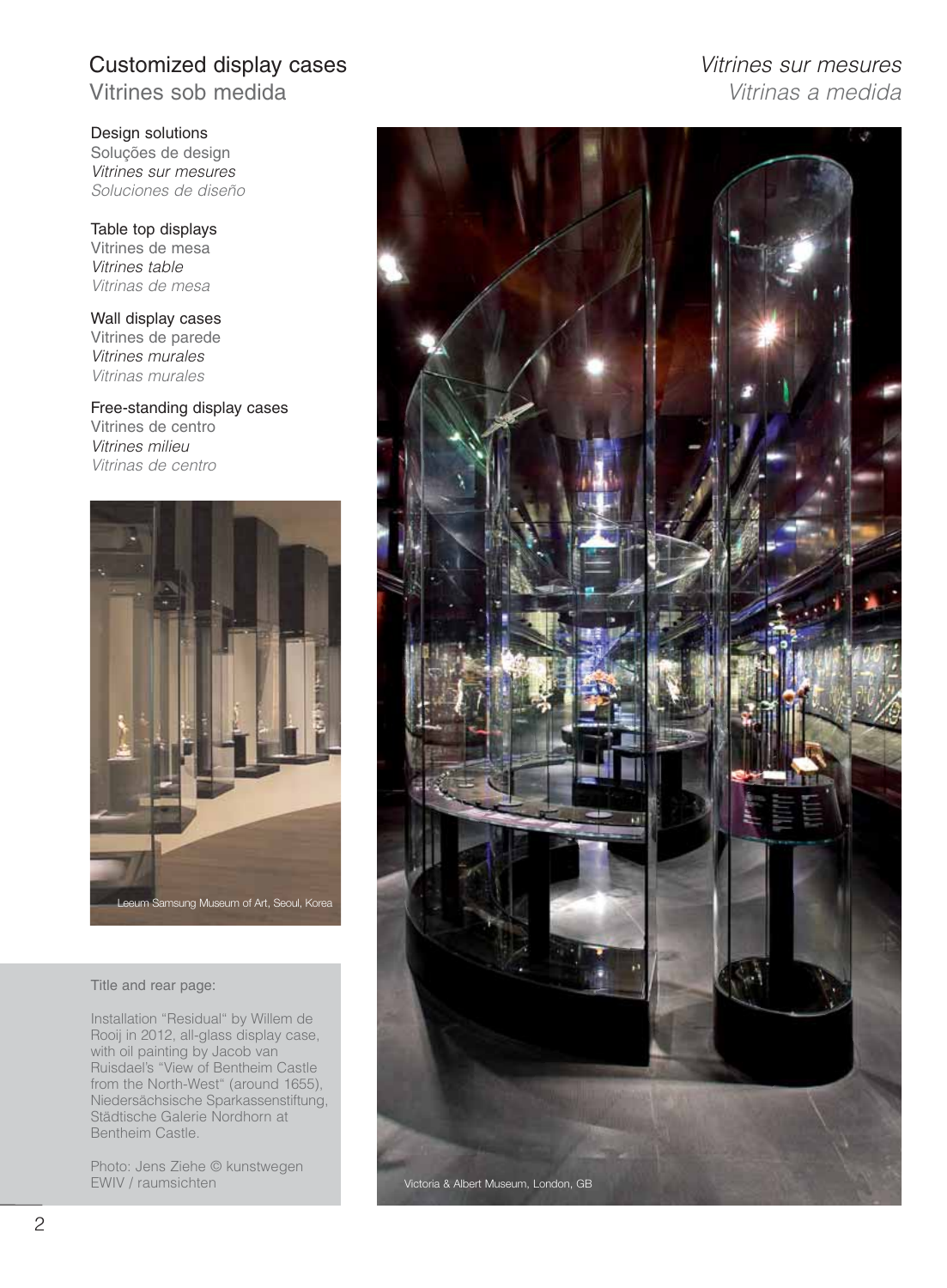# Customized display cases **Vitrines** sur mesures

Vitrines sob medida views and vitrinas a medida

Design solutions Soluções de design Vitrines sur mesures Soluciones de diseño

Table top displays Vitrines de mesa Vitrines table Vitrinas de mesa

Wall display cases Vitrines de parede Vitrines murales Vitrinas murales

Free-standing display cases Vitrines de centro Vitrines milieu Vitrinas de centro



#### Title and rear page:

Installation "Residual" by Willem de Rooij in 2012, all-glass display case, with oil painting by Jacob van Ruisdael's "View of Bentheim Castle from the North-West" (around 1655), Niedersächsische Sparkassenstiftung, Städtische Galerie Nordhorn at Bentheim Castle.

Photo: Jens Ziehe © kunstwegen EWIV / raumsichten

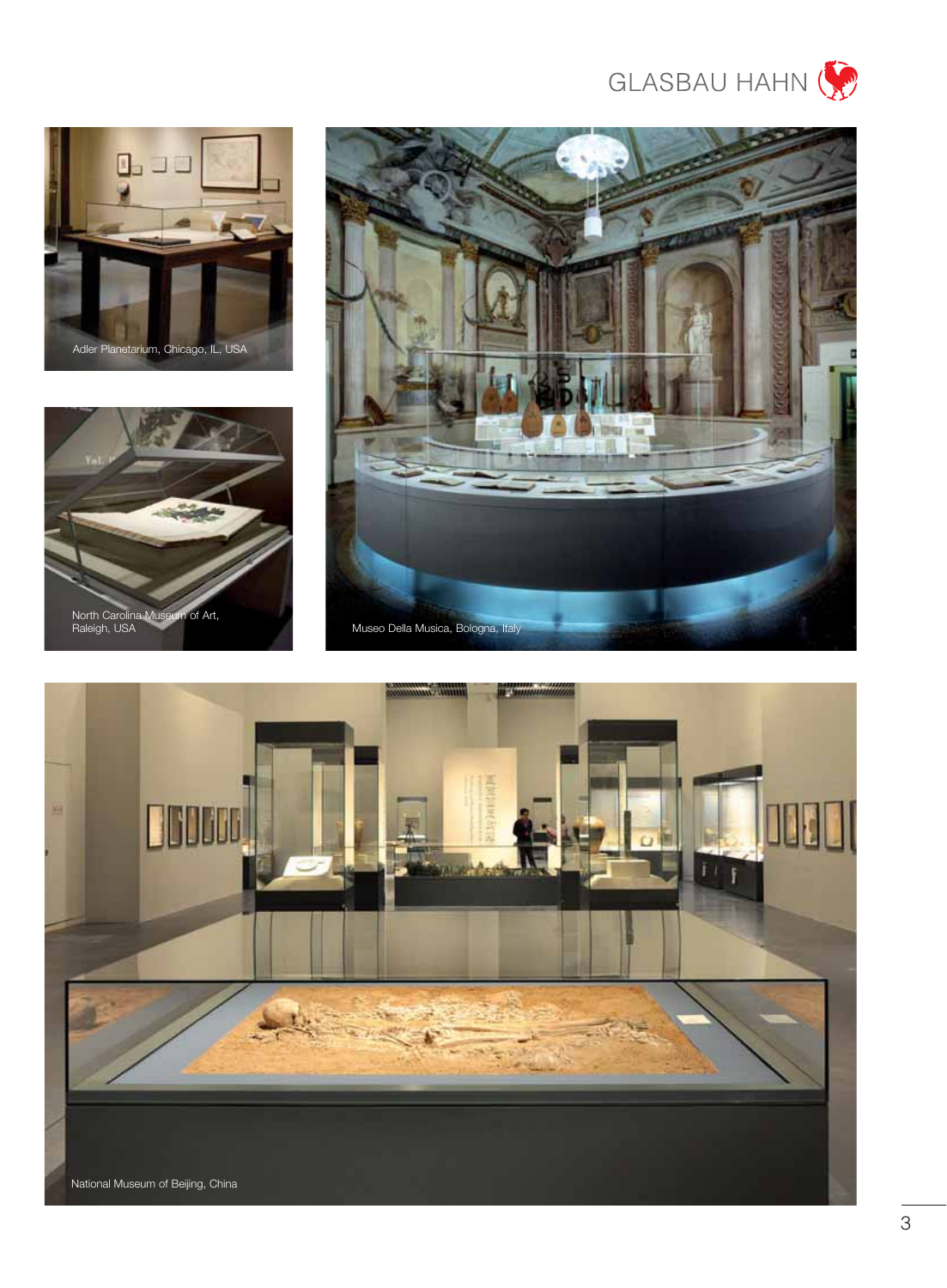







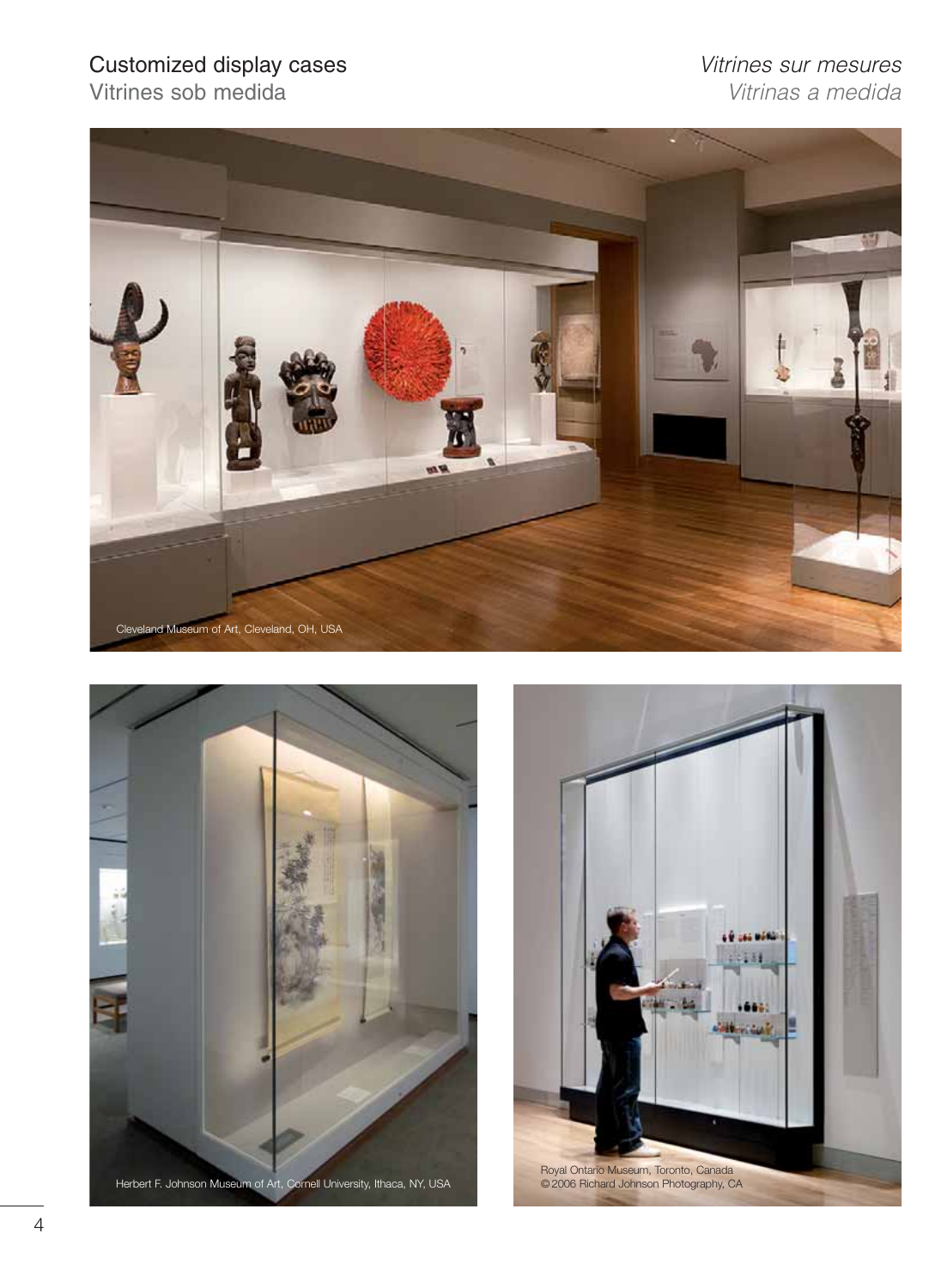Vitrines sob medida

# Customized display cases<br>
Vitrines sur mesures<br>
Vitrines sob medida<br>
Vitrinas a medida





Herbert F. Johnson Museum of Art, Cornell University, Ithaca, NY, USA

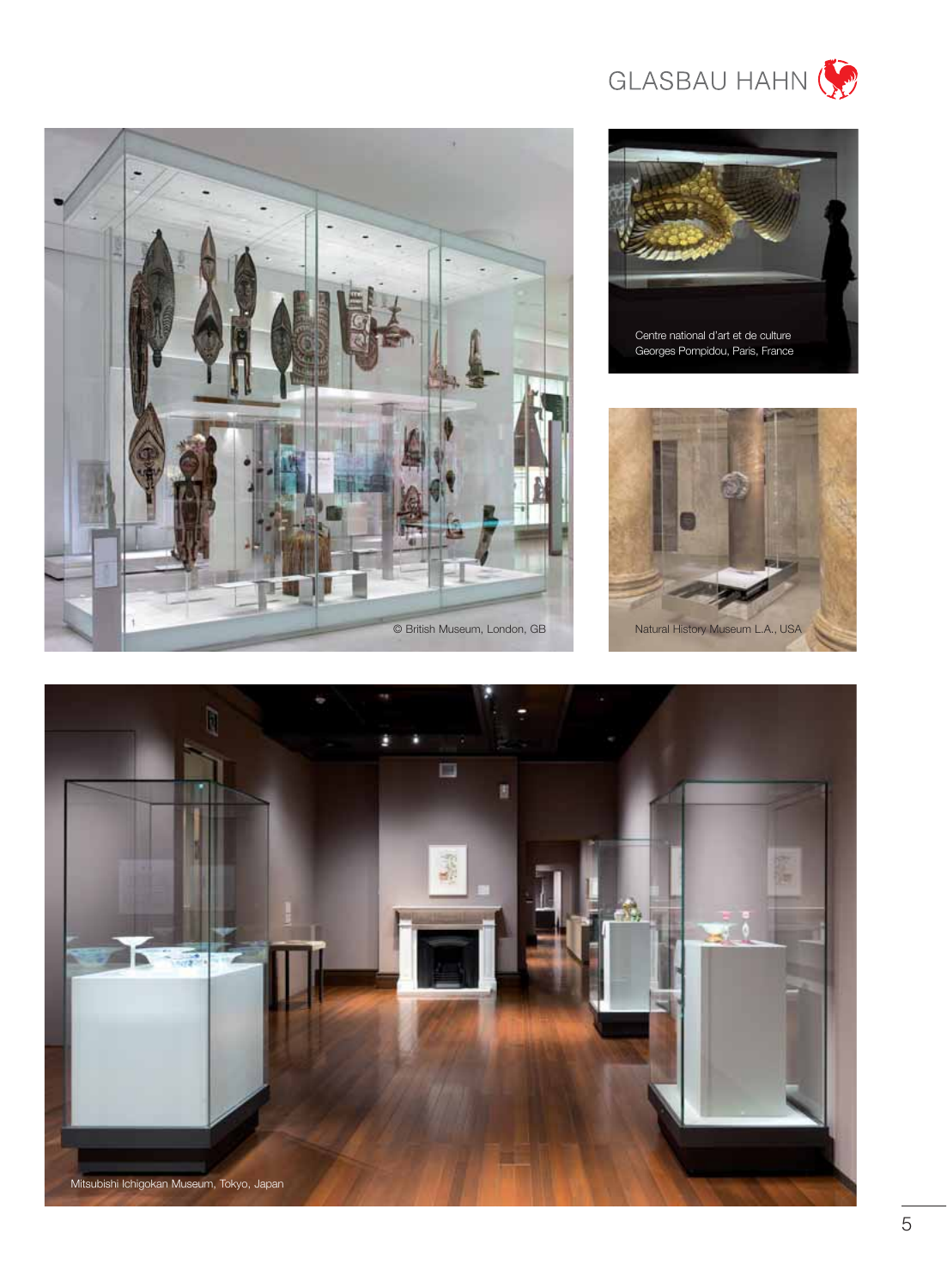



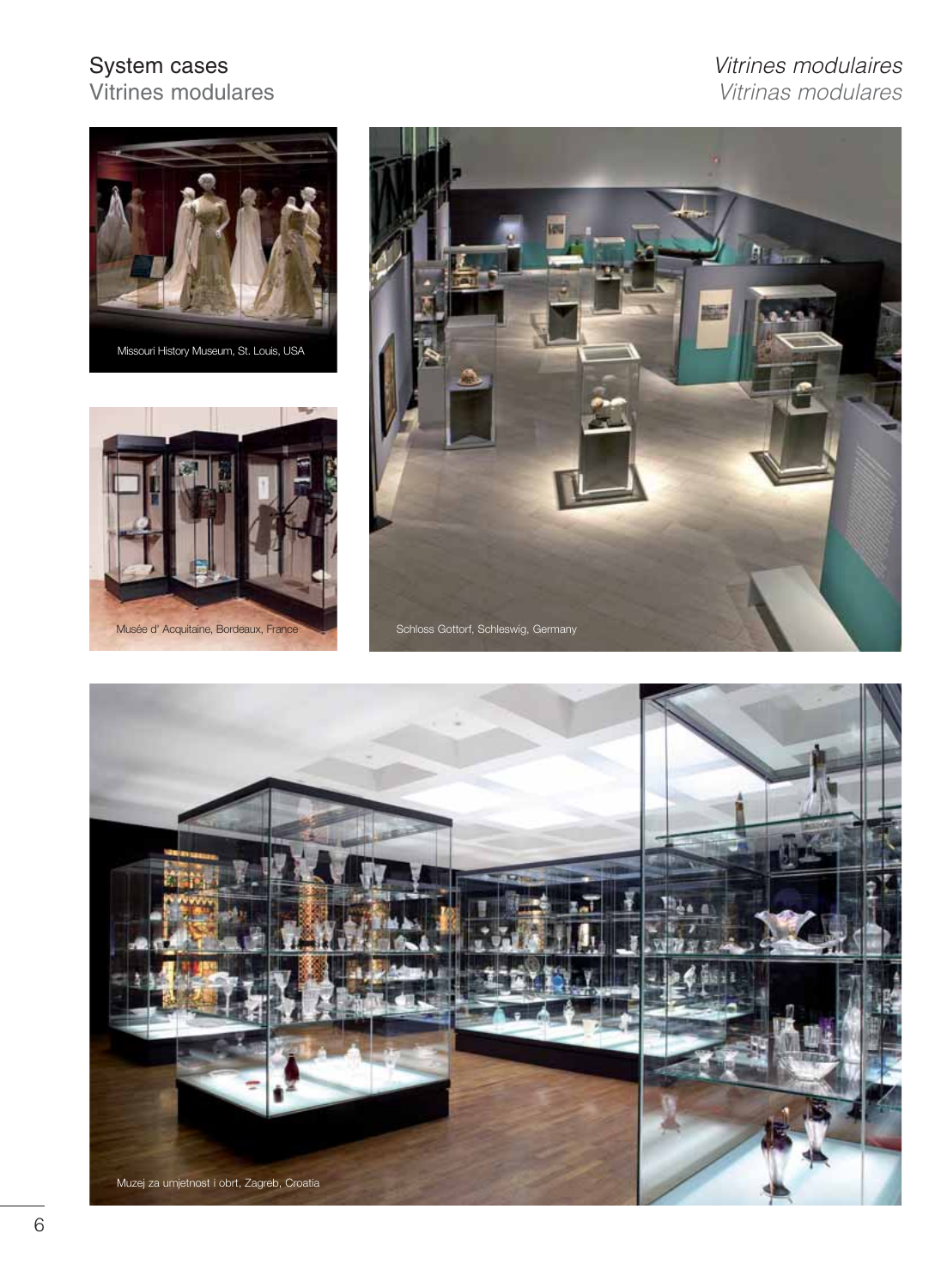## System cases<br>
Vitrines modulares<br>
Vitrines modulares<br>
Vitrinas modulares Vitrines modulares Vitrinas modulares







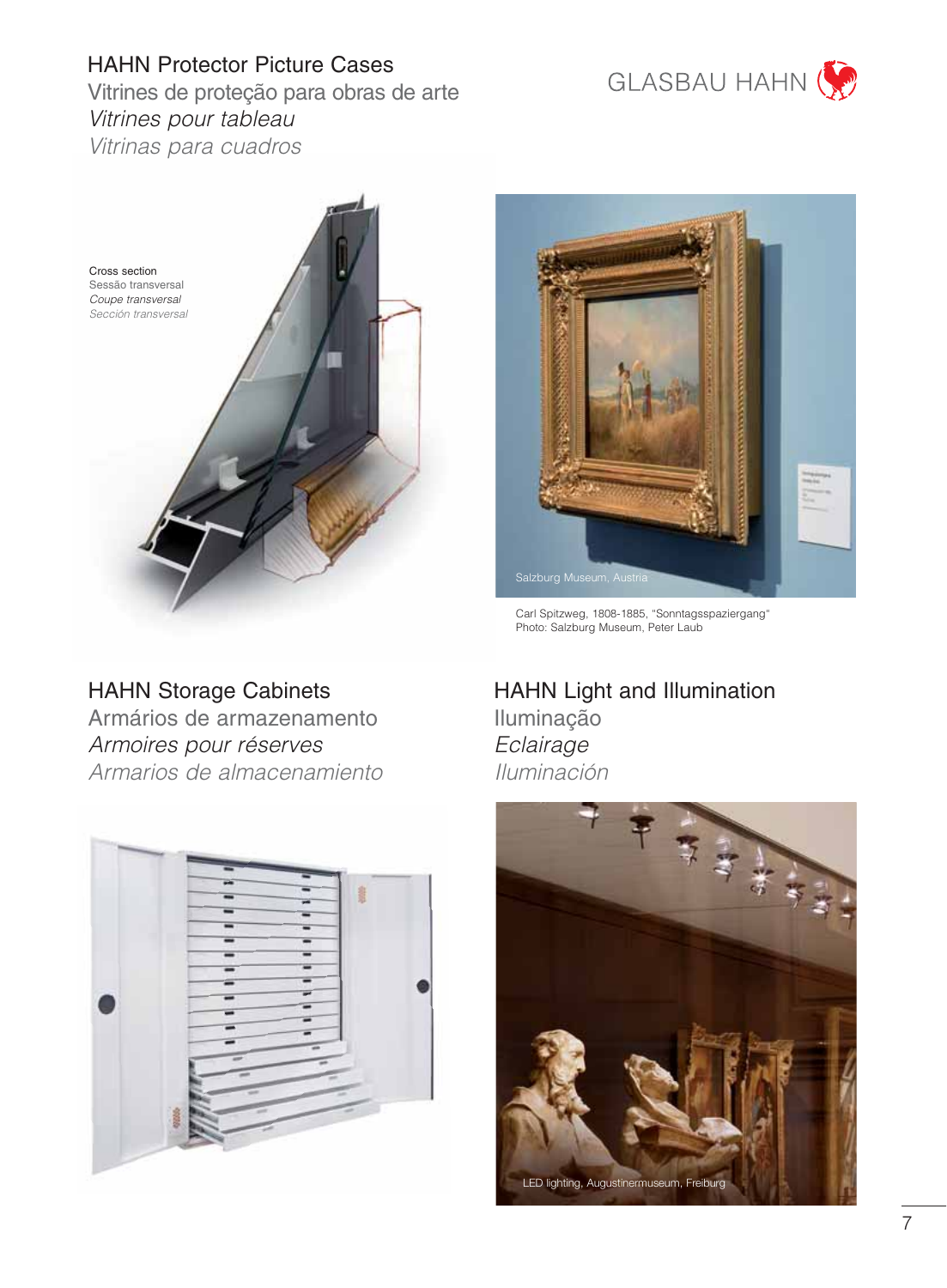



# HAHN Storage Cabinets

Armários de armazenamento Armoires pour réserves Armarios de almacenamiento





GLASBAU HAHN

Carl Spitzweg, 1808-1885, "Sonntagsspaziergang" Photo: Salzburg Museum, Peter Laub

HAHN Light and Illumination Iluminação **Eclairage** Iluminación